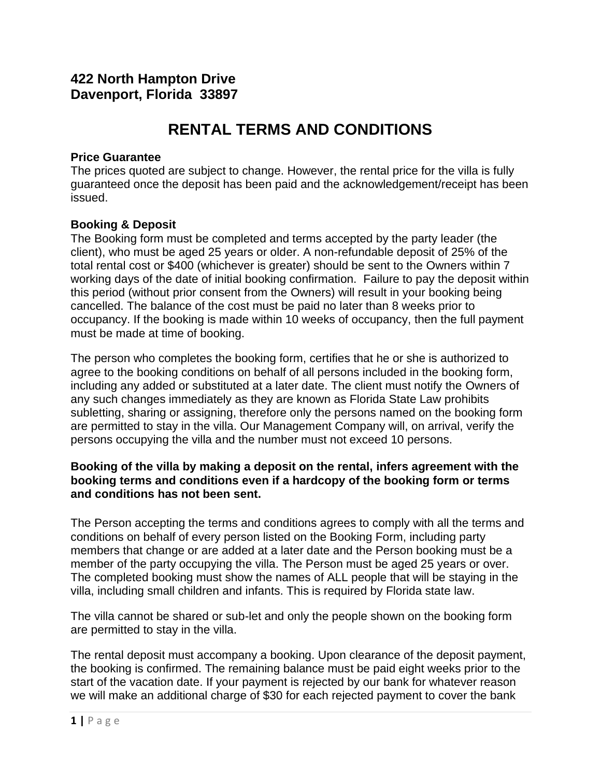# **422 North Hampton Drive Davenport, Florida 33897**

# **RENTAL TERMS AND CONDITIONS**

#### **Price Guarantee**

The prices quoted are subject to change. However, the rental price for the villa is fully guaranteed once the deposit has been paid and the acknowledgement/receipt has been issued.

## **Booking & Deposit**

The Booking form must be completed and terms accepted by the party leader (the client), who must be aged 25 years or older. A non-refundable deposit of 25% of the total rental cost or \$400 (whichever is greater) should be sent to the Owners within 7 working days of the date of initial booking confirmation. Failure to pay the deposit within this period (without prior consent from the Owners) will result in your booking being cancelled. The balance of the cost must be paid no later than 8 weeks prior to occupancy. If the booking is made within 10 weeks of occupancy, then the full payment must be made at time of booking.

The person who completes the booking form, certifies that he or she is authorized to agree to the booking conditions on behalf of all persons included in the booking form, including any added or substituted at a later date. The client must notify the Owners of any such changes immediately as they are known as Florida State Law prohibits subletting, sharing or assigning, therefore only the persons named on the booking form are permitted to stay in the villa. Our Management Company will, on arrival, verify the persons occupying the villa and the number must not exceed 10 persons.

## **Booking of the villa by making a deposit on the rental, infers agreement with the booking terms and conditions even if a hardcopy of the booking form or terms and conditions has not been sent.**

The Person accepting the terms and conditions agrees to comply with all the terms and conditions on behalf of every person listed on the Booking Form, including party members that change or are added at a later date and the Person booking must be a member of the party occupying the villa. The Person must be aged 25 years or over. The completed booking must show the names of ALL people that will be staying in the villa, including small children and infants. This is required by Florida state law.

The villa cannot be shared or sub-let and only the people shown on the booking form are permitted to stay in the villa.

The rental deposit must accompany a booking. Upon clearance of the deposit payment, the booking is confirmed. The remaining balance must be paid eight weeks prior to the start of the vacation date. If your payment is rejected by our bank for whatever reason we will make an additional charge of \$30 for each rejected payment to cover the bank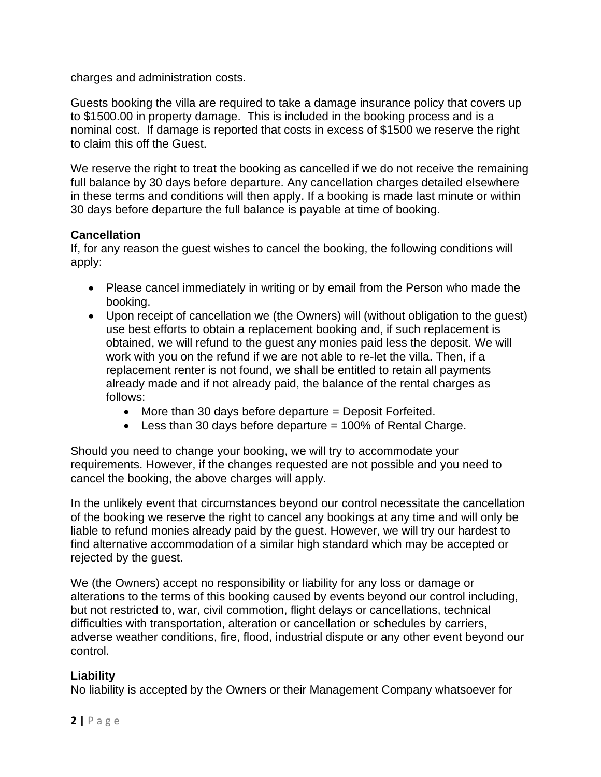charges and administration costs.

Guests booking the villa are required to take a damage insurance policy that covers up to \$1500.00 in property damage. This is included in the booking process and is a nominal cost. If damage is reported that costs in excess of \$1500 we reserve the right to claim this off the Guest.

We reserve the right to treat the booking as cancelled if we do not receive the remaining full balance by 30 days before departure. Any cancellation charges detailed elsewhere in these terms and conditions will then apply. If a booking is made last minute or within 30 days before departure the full balance is payable at time of booking.

# **Cancellation**

If, for any reason the guest wishes to cancel the booking, the following conditions will apply:

- Please cancel immediately in writing or by email from the Person who made the booking.
- Upon receipt of cancellation we (the Owners) will (without obligation to the guest) use best efforts to obtain a replacement booking and, if such replacement is obtained, we will refund to the guest any monies paid less the deposit. We will work with you on the refund if we are not able to re-let the villa. Then, if a replacement renter is not found, we shall be entitled to retain all payments already made and if not already paid, the balance of the rental charges as follows:
	- More than 30 days before departure = Deposit Forfeited.
	- $\bullet$  Less than 30 days before departure = 100% of Rental Charge.

Should you need to change your booking, we will try to accommodate your requirements. However, if the changes requested are not possible and you need to cancel the booking, the above charges will apply.

In the unlikely event that circumstances beyond our control necessitate the cancellation of the booking we reserve the right to cancel any bookings at any time and will only be liable to refund monies already paid by the guest. However, we will try our hardest to find alternative accommodation of a similar high standard which may be accepted or rejected by the guest.

We (the Owners) accept no responsibility or liability for any loss or damage or alterations to the terms of this booking caused by events beyond our control including, but not restricted to, war, civil commotion, flight delays or cancellations, technical difficulties with transportation, alteration or cancellation or schedules by carriers, adverse weather conditions, fire, flood, industrial dispute or any other event beyond our control.

# **Liability**

No liability is accepted by the Owners or their Management Company whatsoever for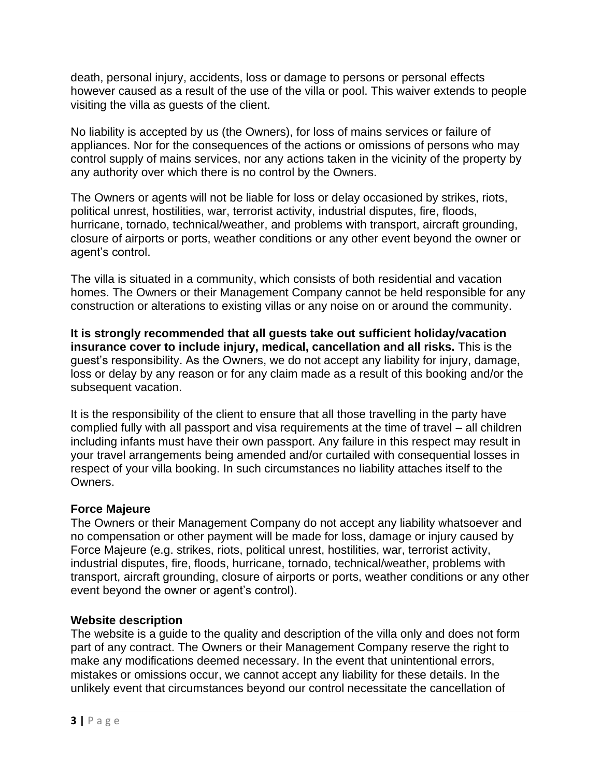death, personal injury, accidents, loss or damage to persons or personal effects however caused as a result of the use of the villa or pool. This waiver extends to people visiting the villa as guests of the client.

No liability is accepted by us (the Owners), for loss of mains services or failure of appliances. Nor for the consequences of the actions or omissions of persons who may control supply of mains services, nor any actions taken in the vicinity of the property by any authority over which there is no control by the Owners.

The Owners or agents will not be liable for loss or delay occasioned by strikes, riots, political unrest, hostilities, war, terrorist activity, industrial disputes, fire, floods, hurricane, tornado, technical/weather, and problems with transport, aircraft grounding, closure of airports or ports, weather conditions or any other event beyond the owner or agent's control.

The villa is situated in a community, which consists of both residential and vacation homes. The Owners or their Management Company cannot be held responsible for any construction or alterations to existing villas or any noise on or around the community.

**It is strongly recommended that all guests take out sufficient holiday/vacation insurance cover to include injury, medical, cancellation and all risks.** This is the guest's responsibility. As the Owners, we do not accept any liability for injury, damage, loss or delay by any reason or for any claim made as a result of this booking and/or the subsequent vacation.

It is the responsibility of the client to ensure that all those travelling in the party have complied fully with all passport and visa requirements at the time of travel – all children including infants must have their own passport. Any failure in this respect may result in your travel arrangements being amended and/or curtailed with consequential losses in respect of your villa booking. In such circumstances no liability attaches itself to the Owners.

#### **Force Majeure**

The Owners or their Management Company do not accept any liability whatsoever and no compensation or other payment will be made for loss, damage or injury caused by Force Majeure (e.g. strikes, riots, political unrest, hostilities, war, terrorist activity, industrial disputes, fire, floods, hurricane, tornado, technical/weather, problems with transport, aircraft grounding, closure of airports or ports, weather conditions or any other event beyond the owner or agent's control).

#### **Website description**

The website is a guide to the quality and description of the villa only and does not form part of any contract. The Owners or their Management Company reserve the right to make any modifications deemed necessary. In the event that unintentional errors, mistakes or omissions occur, we cannot accept any liability for these details. In the unlikely event that circumstances beyond our control necessitate the cancellation of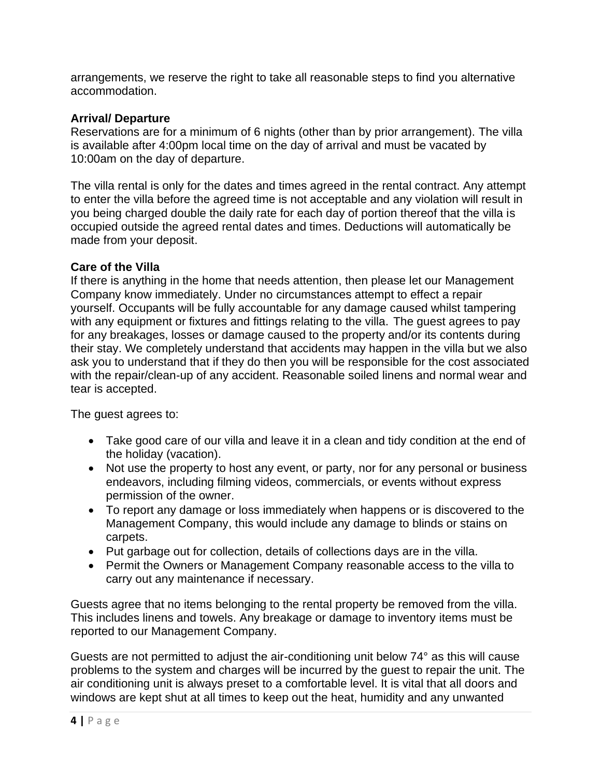arrangements, we reserve the right to take all reasonable steps to find you alternative accommodation.

#### **Arrival/ Departure**

Reservations are for a minimum of 6 nights (other than by prior arrangement). The villa is available after 4:00pm local time on the day of arrival and must be vacated by 10:00am on the day of departure.

The villa rental is only for the dates and times agreed in the rental contract. Any attempt to enter the villa before the agreed time is not acceptable and any violation will result in you being charged double the daily rate for each day of portion thereof that the villa is occupied outside the agreed rental dates and times. Deductions will automatically be made from your deposit.

#### **Care of the Villa**

If there is anything in the home that needs attention, then please let our Management Company know immediately. Under no circumstances attempt to effect a repair yourself. Occupants will be fully accountable for any damage caused whilst tampering with any equipment or fixtures and fittings relating to the villa. The guest agrees to pay for any breakages, losses or damage caused to the property and/or its contents during their stay. We completely understand that accidents may happen in the villa but we also ask you to understand that if they do then you will be responsible for the cost associated with the repair/clean-up of any accident. Reasonable soiled linens and normal wear and tear is accepted.

The guest agrees to:

- Take good care of our villa and leave it in a clean and tidy condition at the end of the holiday (vacation).
- Not use the property to host any event, or party, nor for any personal or business endeavors, including filming videos, commercials, or events without express permission of the owner.
- To report any damage or loss immediately when happens or is discovered to the Management Company, this would include any damage to blinds or stains on carpets.
- Put garbage out for collection, details of collections days are in the villa.
- Permit the Owners or Management Company reasonable access to the villa to carry out any maintenance if necessary.

Guests agree that no items belonging to the rental property be removed from the villa. This includes linens and towels. Any breakage or damage to inventory items must be reported to our Management Company.

Guests are not permitted to adjust the air-conditioning unit below 74° as this will cause problems to the system and charges will be incurred by the guest to repair the unit. The air conditioning unit is always preset to a comfortable level. It is vital that all doors and windows are kept shut at all times to keep out the heat, humidity and any unwanted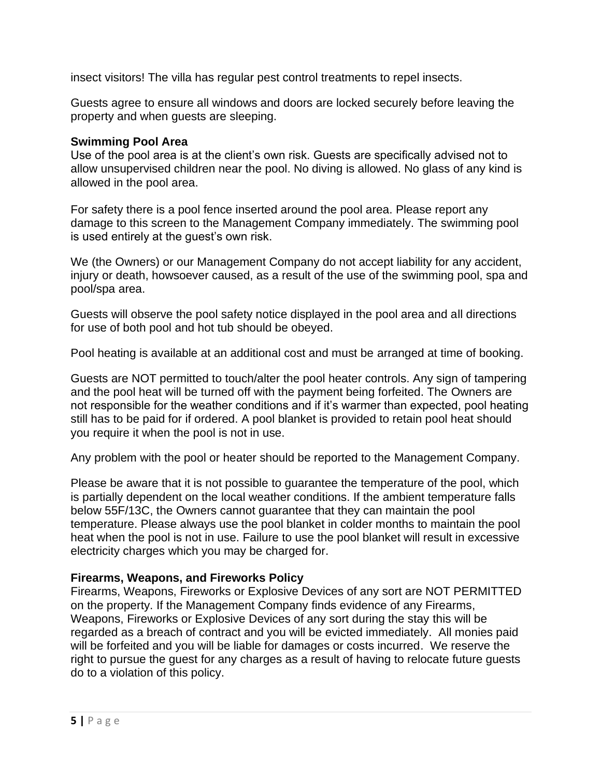insect visitors! The villa has regular pest control treatments to repel insects.

Guests agree to ensure all windows and doors are locked securely before leaving the property and when guests are sleeping.

# **Swimming Pool Area**

Use of the pool area is at the client's own risk. Guests are specifically advised not to allow unsupervised children near the pool. No diving is allowed. No glass of any kind is allowed in the pool area.

For safety there is a pool fence inserted around the pool area. Please report any damage to this screen to the Management Company immediately. The swimming pool is used entirely at the guest's own risk.

We (the Owners) or our Management Company do not accept liability for any accident, injury or death, howsoever caused, as a result of the use of the swimming pool, spa and pool/spa area.

Guests will observe the pool safety notice displayed in the pool area and all directions for use of both pool and hot tub should be obeyed.

Pool heating is available at an additional cost and must be arranged at time of booking.

Guests are NOT permitted to touch/alter the pool heater controls. Any sign of tampering and the pool heat will be turned off with the payment being forfeited. The Owners are not responsible for the weather conditions and if it's warmer than expected, pool heating still has to be paid for if ordered. A pool blanket is provided to retain pool heat should you require it when the pool is not in use.

Any problem with the pool or heater should be reported to the Management Company.

Please be aware that it is not possible to guarantee the temperature of the pool, which is partially dependent on the local weather conditions. If the ambient temperature falls below 55F/13C, the Owners cannot guarantee that they can maintain the pool temperature. Please always use the pool blanket in colder months to maintain the pool heat when the pool is not in use. Failure to use the pool blanket will result in excessive electricity charges which you may be charged for.

# **Firearms, Weapons, and Fireworks Policy**

Firearms, Weapons, Fireworks or Explosive Devices of any sort are NOT PERMITTED on the property. If the Management Company finds evidence of any Firearms, Weapons, Fireworks or Explosive Devices of any sort during the stay this will be regarded as a breach of contract and you will be evicted immediately. All monies paid will be forfeited and you will be liable for damages or costs incurred. We reserve the right to pursue the guest for any charges as a result of having to relocate future guests do to a violation of this policy.